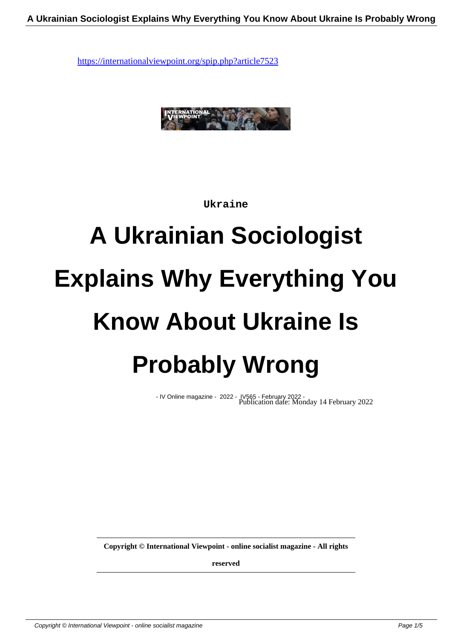

**Ukraine**

# **A Ukrainian Sociologist Explains Why Everything You Know About Ukraine Is Probably Wrong**

- IV Online magazine - 2022 - IV565 - February 2022 - Publication date: Monday 14 February 2022

**Copyright © International Viewpoint - online socialist magazine - All rights**

**reserved**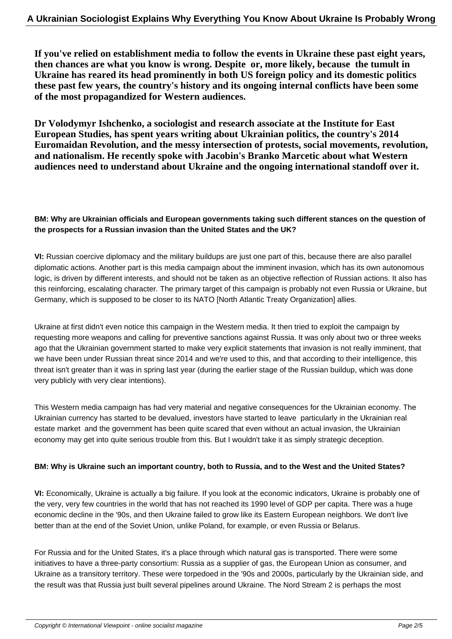**If you've relied on establishment media to follow the events in Ukraine these past eight years, then chances are what you know is wrong. Despite or, more likely, because the tumult in Ukraine has reared its head prominently in both US foreign policy and its domestic politics these past few years, the country's history and its ongoing internal conflicts have been some of the most propagandized for Western audiences.**

**Dr Volodymyr Ishchenko, a sociologist and research associate at the Institute for East European Studies, has spent years writing about Ukrainian politics, the country's 2014 Euromaidan Revolution, and the messy intersection of protests, social movements, revolution, and nationalism. He recently spoke with Jacobin's Branko Marcetic about what Western audiences need to understand about Ukraine and the ongoing international standoff over it.**

### **BM: Why are Ukrainian officials and European governments taking such different stances on the question of the prospects for a Russian invasion than the United States and the UK?**

**VI:** Russian coercive diplomacy and the military buildups are just one part of this, because there are also parallel diplomatic actions. Another part is this media campaign about the imminent invasion, which has its own autonomous logic, is driven by different interests, and should not be taken as an objective reflection of Russian actions. It also has this reinforcing, escalating character. The primary target of this campaign is probably not even Russia or Ukraine, but Germany, which is supposed to be closer to its NATO [North Atlantic Treaty Organization] allies.

Ukraine at first didn't even notice this campaign in the Western media. It then tried to exploit the campaign by requesting more weapons and calling for preventive sanctions against Russia. It was only about two or three weeks ago that the Ukrainian government started to make very explicit statements that invasion is not really imminent, that we have been under Russian threat since 2014 and we're used to this, and that according to their intelligence, this threat isn't greater than it was in spring last year (during the earlier stage of the Russian buildup, which was done very publicly with very clear intentions).

This Western media campaign has had very material and negative consequences for the Ukrainian economy. The Ukrainian currency has started to be devalued, investors have started to leave particularly in the Ukrainian real estate market and the government has been quite scared that even without an actual invasion, the Ukrainian economy may get into quite serious trouble from this. But I wouldn't take it as simply strategic deception.

#### **BM: Why is Ukraine such an important country, both to Russia, and to the West and the United States?**

**VI:** Economically, Ukraine is actually a big failure. If you look at the economic indicators, Ukraine is probably one of the very, very few countries in the world that has not reached its 1990 level of GDP per capita. There was a huge economic decline in the '90s, and then Ukraine failed to grow like its Eastern European neighbors. We don't live better than at the end of the Soviet Union, unlike Poland, for example, or even Russia or Belarus.

For Russia and for the United States, it's a place through which natural gas is transported. There were some initiatives to have a three-party consortium: Russia as a supplier of gas, the European Union as consumer, and Ukraine as a transitory territory. These were torpedoed in the '90s and 2000s, particularly by the Ukrainian side, and the result was that Russia just built several pipelines around Ukraine. The Nord Stream 2 is perhaps the most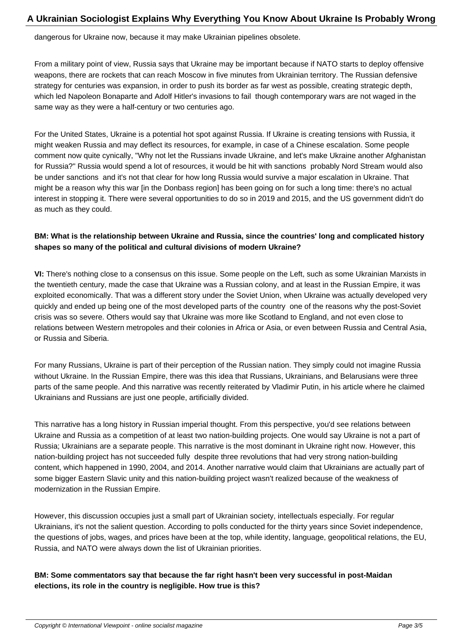dangerous for Ukraine now, because it may make Ukrainian pipelines obsolete.

From a military point of view, Russia says that Ukraine may be important because if NATO starts to deploy offensive weapons, there are rockets that can reach Moscow in five minutes from Ukrainian territory. The Russian defensive strategy for centuries was expansion, in order to push its border as far west as possible, creating strategic depth, which led Napoleon Bonaparte and Adolf Hitler's invasions to fail though contemporary wars are not waged in the same way as they were a half-century or two centuries ago.

For the United States, Ukraine is a potential hot spot against Russia. If Ukraine is creating tensions with Russia, it might weaken Russia and may deflect its resources, for example, in case of a Chinese escalation. Some people comment now quite cynically, "Why not let the Russians invade Ukraine, and let's make Ukraine another Afghanistan for Russia?" Russia would spend a lot of resources, it would be hit with sanctions probably Nord Stream would also be under sanctions and it's not that clear for how long Russia would survive a major escalation in Ukraine. That might be a reason why this war [in the Donbass region] has been going on for such a long time: there's no actual interest in stopping it. There were several opportunities to do so in 2019 and 2015, and the US government didn't do as much as they could.

## **BM: What is the relationship between Ukraine and Russia, since the countries' long and complicated history shapes so many of the political and cultural divisions of modern Ukraine?**

**VI:** There's nothing close to a consensus on this issue. Some people on the Left, such as some Ukrainian Marxists in the twentieth century, made the case that Ukraine was a Russian colony, and at least in the Russian Empire, it was exploited economically. That was a different story under the Soviet Union, when Ukraine was actually developed very quickly and ended up being one of the most developed parts of the country one of the reasons why the post-Soviet crisis was so severe. Others would say that Ukraine was more like Scotland to England, and not even close to relations between Western metropoles and their colonies in Africa or Asia, or even between Russia and Central Asia, or Russia and Siberia.

For many Russians, Ukraine is part of their perception of the Russian nation. They simply could not imagine Russia without Ukraine. In the Russian Empire, there was this idea that Russians, Ukrainians, and Belarusians were three parts of the same people. And this narrative was recently reiterated by Vladimir Putin, in his article where he claimed Ukrainians and Russians are just one people, artificially divided.

This narrative has a long history in Russian imperial thought. From this perspective, you'd see relations between Ukraine and Russia as a competition of at least two nation-building projects. One would say Ukraine is not a part of Russia; Ukrainians are a separate people. This narrative is the most dominant in Ukraine right now. However, this nation-building project has not succeeded fully despite three revolutions that had very strong nation-building content, which happened in 1990, 2004, and 2014. Another narrative would claim that Ukrainians are actually part of some bigger Eastern Slavic unity and this nation-building project wasn't realized because of the weakness of modernization in the Russian Empire.

However, this discussion occupies just a small part of Ukrainian society, intellectuals especially. For regular Ukrainians, it's not the salient question. According to polls conducted for the thirty years since Soviet independence, the questions of jobs, wages, and prices have been at the top, while identity, language, geopolitical relations, the EU, Russia, and NATO were always down the list of Ukrainian priorities.

## **BM: Some commentators say that because the far right hasn't been very successful in post-Maidan elections, its role in the country is negligible. How true is this?**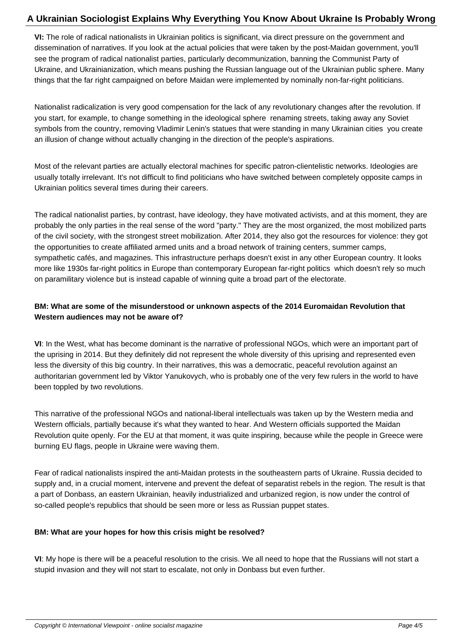**VI:** The role of radical nationalists in Ukrainian politics is significant, via direct pressure on the government and dissemination of narratives. If you look at the actual policies that were taken by the post-Maidan government, you'll see the program of radical nationalist parties, particularly decommunization, banning the Communist Party of Ukraine, and Ukrainianization, which means pushing the Russian language out of the Ukrainian public sphere. Many things that the far right campaigned on before Maidan were implemented by nominally non-far-right politicians.

Nationalist radicalization is very good compensation for the lack of any revolutionary changes after the revolution. If you start, for example, to change something in the ideological sphere renaming streets, taking away any Soviet symbols from the country, removing Vladimir Lenin's statues that were standing in many Ukrainian cities you create an illusion of change without actually changing in the direction of the people's aspirations.

Most of the relevant parties are actually electoral machines for specific patron-clientelistic networks. Ideologies are usually totally irrelevant. It's not difficult to find politicians who have switched between completely opposite camps in Ukrainian politics several times during their careers.

The radical nationalist parties, by contrast, have ideology, they have motivated activists, and at this moment, they are probably the only parties in the real sense of the word "party." They are the most organized, the most mobilized parts of the civil society, with the strongest street mobilization. After 2014, they also got the resources for violence: they got the opportunities to create affiliated armed units and a broad network of training centers, summer camps, sympathetic cafés, and magazines. This infrastructure perhaps doesn't exist in any other European country. It looks more like 1930s far-right politics in Europe than contemporary European far-right politics which doesn't rely so much on paramilitary violence but is instead capable of winning quite a broad part of the electorate.

## **BM: What are some of the misunderstood or unknown aspects of the 2014 Euromaidan Revolution that Western audiences may not be aware of?**

**VI**: In the West, what has become dominant is the narrative of professional NGOs, which were an important part of the uprising in 2014. But they definitely did not represent the whole diversity of this uprising and represented even less the diversity of this big country. In their narratives, this was a democratic, peaceful revolution against an authoritarian government led by Viktor Yanukovych, who is probably one of the very few rulers in the world to have been toppled by two revolutions.

This narrative of the professional NGOs and national-liberal intellectuals was taken up by the Western media and Western officials, partially because it's what they wanted to hear. And Western officials supported the Maidan Revolution quite openly. For the EU at that moment, it was quite inspiring, because while the people in Greece were burning EU flags, people in Ukraine were waving them.

Fear of radical nationalists inspired the anti-Maidan protests in the southeastern parts of Ukraine. Russia decided to supply and, in a crucial moment, intervene and prevent the defeat of separatist rebels in the region. The result is that a part of Donbass, an eastern Ukrainian, heavily industrialized and urbanized region, is now under the control of so-called people's republics that should be seen more or less as Russian puppet states.

#### **BM: What are your hopes for how this crisis might be resolved?**

**VI**: My hope is there will be a peaceful resolution to the crisis. We all need to hope that the Russians will not start a stupid invasion and they will not start to escalate, not only in Donbass but even further.